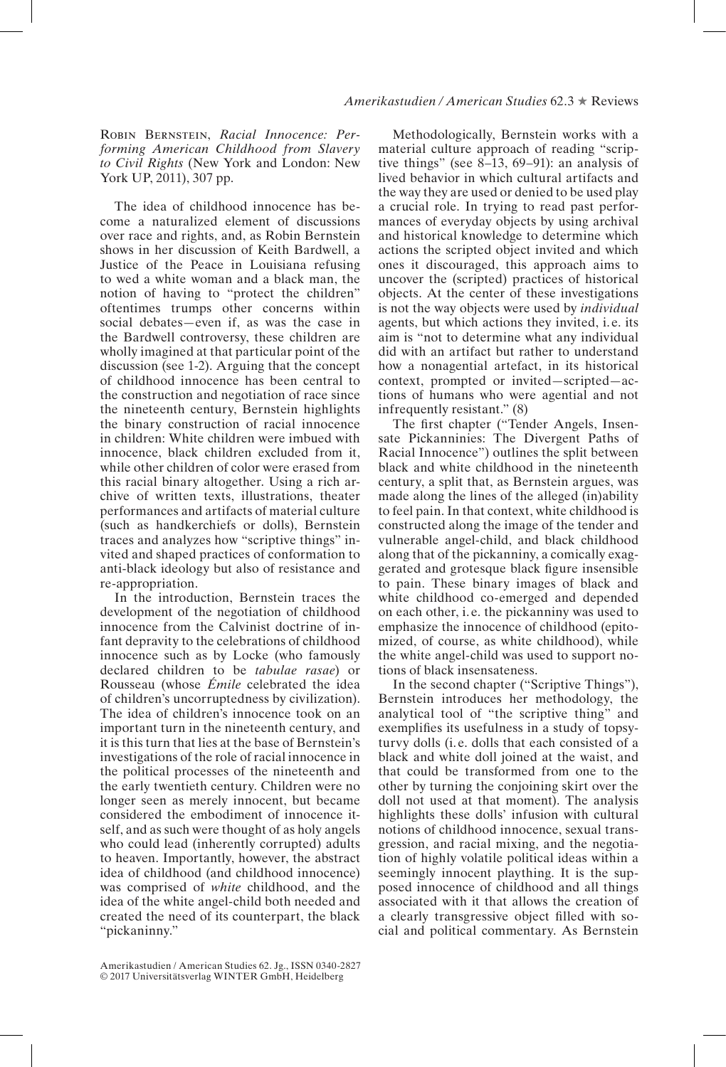## *Amerikastudien / American Studies* 62.3 ★ Reviews

Robin Bernstein, *Racial Innocence: Performing American Childhood from Slavery to Civil Rights* (New York and London: New York UP, 2011), 307 pp.

The idea of childhood innocence has become a naturalized element of discussions over race and rights, and, as Robin Bernstein shows in her discussion of Keith Bardwell, a Justice of the Peace in Louisiana refusing to wed a white woman and a black man, the notion of having to "protect the children" oftentimes trumps other concerns within social debates—even if, as was the case in the Bardwell controversy, these children are wholly imagined at that particular point of the discussion (see 1-2). Arguing that the concept of childhood innocence has been central to the construction and negotiation of race since the nineteenth century, Bernstein highlights the binary construction of racial innocence in children: White children were imbued with innocence, black children excluded from it, while other children of color were erased from this racial binary altogether. Using a rich archive of written texts, illustrations, theater performances and artifacts of material culture (such as handkerchiefs or dolls), Bernstein traces and analyzes how "scriptive things" invited and shaped practices of conformation to anti-black ideology but also of resistance and re-appropriation.

In the introduction, Bernstein traces the development of the negotiation of childhood innocence from the Calvinist doctrine of infant depravity to the celebrations of childhood innocence such as by Locke (who famously declared children to be *tabulae rasae*) or Rousseau (whose *Émile* celebrated the idea of children's uncorruptedness by civilization). The idea of children's innocence took on an important turn in the nineteenth century, and it is this turn that lies at the base of Bernstein's investigations of the role of racial innocence in the political processes of the nineteenth and the early twentieth century. Children were no longer seen as merely innocent, but became considered the embodiment of innocence itself, and as such were thought of as holy angels who could lead (inherently corrupted) adults to heaven. Importantly, however, the abstract idea of childhood (and childhood innocence) was comprised of *white* childhood, and the idea of the white angel-child both needed and created the need of its counterpart, the black "pickaninny."

Methodologically, Bernstein works with a material culture approach of reading "scriptive things" (see 8–13, 69–91): an analysis of lived behavior in which cultural artifacts and the way they are used or denied to be used play a crucial role. In trying to read past performances of everyday objects by using archival and historical knowledge to determine which actions the scripted object invited and which ones it discouraged, this approach aims to uncover the (scripted) practices of historical objects. At the center of these investigations is not the way objects were used by *individual*  agents, but which actions they invited, i. e. its aim is "not to determine what any individual did with an artifact but rather to understand how a nonagential artefact, in its historical context, prompted or invited—scripted—actions of humans who were agential and not infrequently resistant." (8)

The frst chapter ("Tender Angels, Insensate Pickanninies: The Divergent Paths of Racial Innocence") outlines the split between black and white childhood in the nineteenth century, a split that, as Bernstein argues, was made along the lines of the alleged (in)ability to feel pain. In that context, white childhood is constructed along the image of the tender and vulnerable angel-child, and black childhood along that of the pickanniny, a comically exaggerated and grotesque black fgure insensible to pain. These binary images of black and white childhood co-emerged and depended on each other, i.e. the pickanniny was used to emphasize the innocence of childhood (epitomized, of course, as white childhood), while the white angel-child was used to support notions of black insensateness.

In the second chapter ("Scriptive Things"), Bernstein introduces her methodology, the analytical tool of "the scriptive thing" and exemplifes its usefulness in a study of topsyturvy dolls (i. e. dolls that each consisted of a black and white doll joined at the waist, and that could be transformed from one to the other by turning the conjoining skirt over the doll not used at that moment). The analysis highlights these dolls' infusion with cultural notions of childhood innocence, sexual transgression, and racial mixing, and the negotiation of highly volatile political ideas within a seemingly innocent plaything. It is the supposed innocence of childhood and all things associated with it that allows the creation of a clearly transgressive object flled with social and political commentary. As Bernstein

Amerikastudien / American Studies 62. Jg., ISSN 0340-2827 © 2017 Universitätsverlag WINTER GmbH, Heidelberg